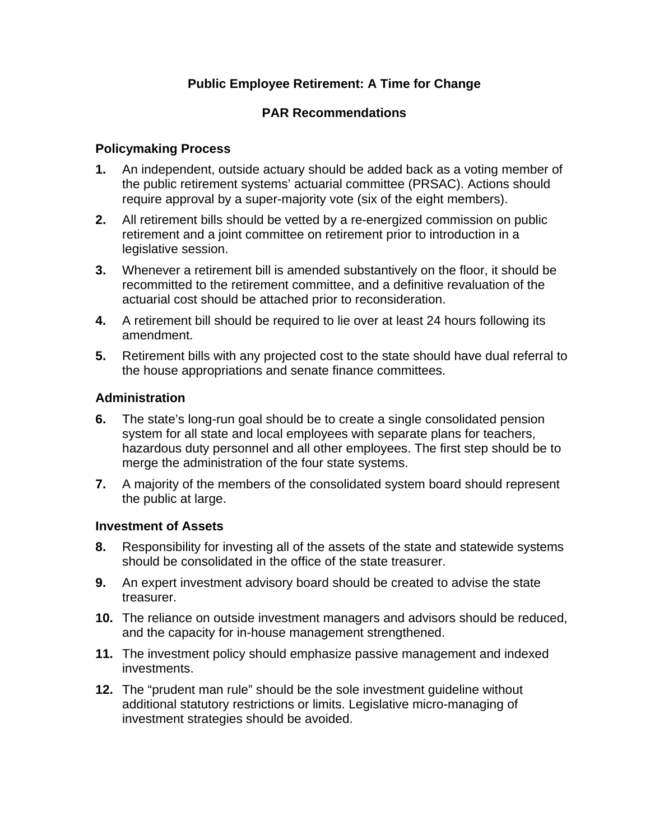## **Public Employee Retirement: A Time for Change**

### **PAR Recommendations**

#### **Policymaking Process**

- **1.** An independent, outside actuary should be added back as a voting member of the public retirement systems' actuarial committee (PRSAC). Actions should require approval by a super-majority vote (six of the eight members).
- **2.** All retirement bills should be vetted by a re-energized commission on public retirement and a joint committee on retirement prior to introduction in a legislative session.
- **3.** Whenever a retirement bill is amended substantively on the floor, it should be recommitted to the retirement committee, and a definitive revaluation of the actuarial cost should be attached prior to reconsideration.
- **4.** A retirement bill should be required to lie over at least 24 hours following its amendment.
- **5.** Retirement bills with any projected cost to the state should have dual referral to the house appropriations and senate finance committees.

#### **Administration**

- **6.** The state's long-run goal should be to create a single consolidated pension system for all state and local employees with separate plans for teachers, hazardous duty personnel and all other employees. The first step should be to merge the administration of the four state systems.
- **7.** A majority of the members of the consolidated system board should represent the public at large.

#### **Investment of Assets**

- **8.** Responsibility for investing all of the assets of the state and statewide systems should be consolidated in the office of the state treasurer.
- **9.** An expert investment advisory board should be created to advise the state treasurer.
- **10.** The reliance on outside investment managers and advisors should be reduced, and the capacity for in-house management strengthened.
- **11.** The investment policy should emphasize passive management and indexed investments.
- **12.** The "prudent man rule" should be the sole investment guideline without additional statutory restrictions or limits. Legislative micro-managing of investment strategies should be avoided.